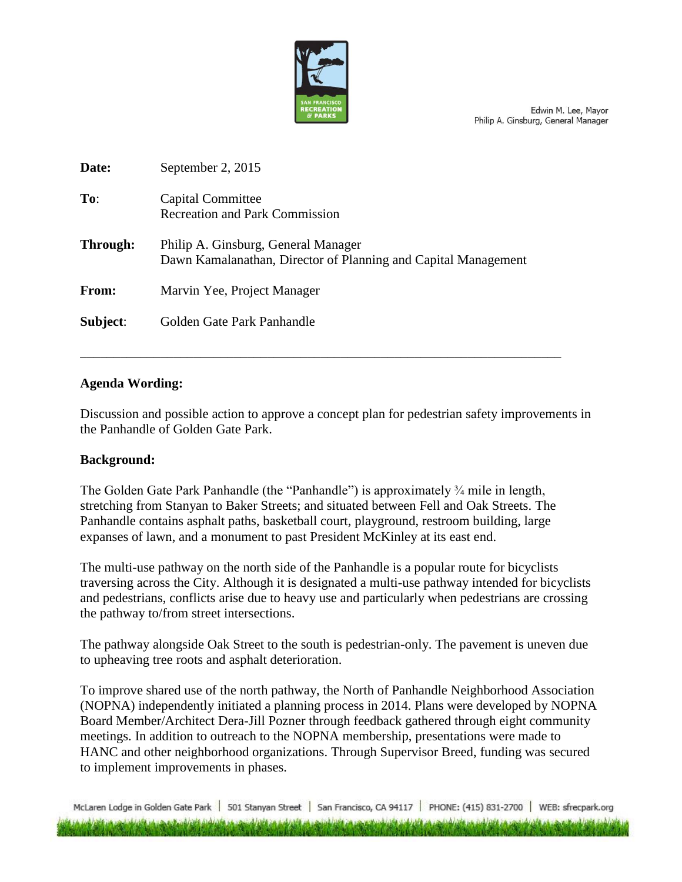

Edwin M. Lee, Mayor Philip A. Ginsburg, General Manager

| Date:    | September 2, 2015                                                                                     |
|----------|-------------------------------------------------------------------------------------------------------|
| To:      | Capital Committee<br><b>Recreation and Park Commission</b>                                            |
| Through: | Philip A. Ginsburg, General Manager<br>Dawn Kamalanathan, Director of Planning and Capital Management |
| From:    | Marvin Yee, Project Manager                                                                           |
| Subject: | Golden Gate Park Panhandle                                                                            |
|          |                                                                                                       |

# **Agenda Wording:**

Discussion and possible action to approve a concept plan for pedestrian safety improvements in the Panhandle of Golden Gate Park.

\_\_\_\_\_\_\_\_\_\_\_\_\_\_\_\_\_\_\_\_\_\_\_\_\_\_\_\_\_\_\_\_\_\_\_\_\_\_\_\_\_\_\_\_\_\_\_\_\_\_\_\_\_\_\_\_\_\_\_\_\_\_\_\_\_\_\_\_\_\_\_\_

#### **Background:**

The Golden Gate Park Panhandle (the "Panhandle") is approximately ¾ mile in length, stretching from Stanyan to Baker Streets; and situated between Fell and Oak Streets. The Panhandle contains asphalt paths, basketball court, playground, restroom building, large expanses of lawn, and a monument to past President McKinley at its east end.

The multi-use pathway on the north side of the Panhandle is a popular route for bicyclists traversing across the City. Although it is designated a multi-use pathway intended for bicyclists and pedestrians, conflicts arise due to heavy use and particularly when pedestrians are crossing the pathway to/from street intersections.

The pathway alongside Oak Street to the south is pedestrian-only. The pavement is uneven due to upheaving tree roots and asphalt deterioration.

To improve shared use of the north pathway, the North of Panhandle Neighborhood Association (NOPNA) independently initiated a planning process in 2014. Plans were developed by NOPNA Board Member/Architect Dera-Jill Pozner through feedback gathered through eight community meetings. In addition to outreach to the NOPNA membership, presentations were made to HANC and other neighborhood organizations. Through Supervisor Breed, funding was secured to implement improvements in phases.

McLaren Lodge in Golden Gate Park | 501 Stanyan Street | San Francisco, CA 94117 | PHONE: (415) 831-2700 | WEB: sfrecpark.org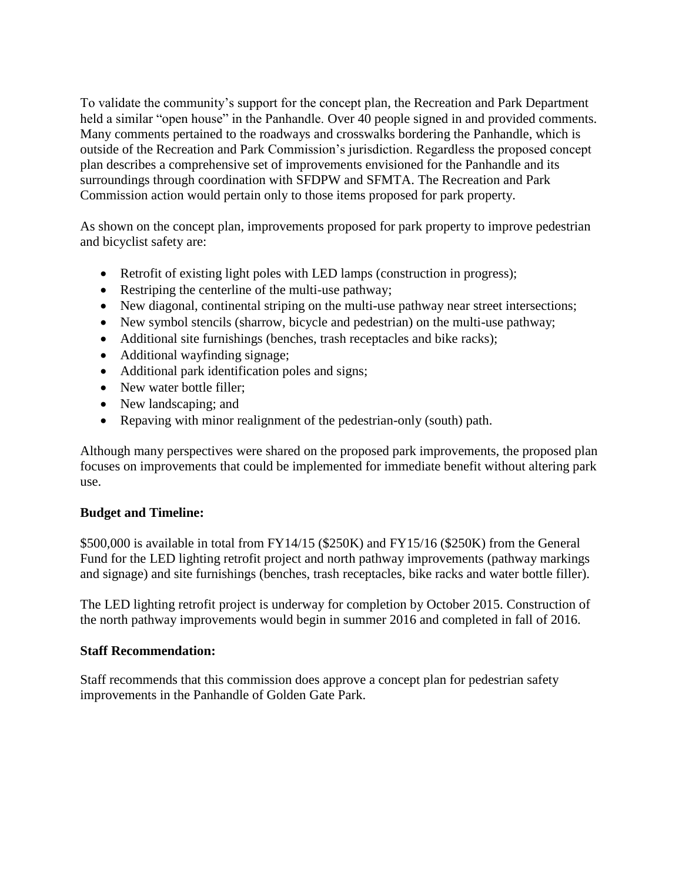To validate the community's support for the concept plan, the Recreation and Park Department held a similar "open house" in the Panhandle. Over 40 people signed in and provided comments. Many comments pertained to the roadways and crosswalks bordering the Panhandle, which is outside of the Recreation and Park Commission's jurisdiction. Regardless the proposed concept plan describes a comprehensive set of improvements envisioned for the Panhandle and its surroundings through coordination with SFDPW and SFMTA. The Recreation and Park Commission action would pertain only to those items proposed for park property.

As shown on the concept plan, improvements proposed for park property to improve pedestrian and bicyclist safety are:

- Retrofit of existing light poles with LED lamps (construction in progress);
- Restriping the centerline of the multi-use pathway;
- New diagonal, continental striping on the multi-use pathway near street intersections;
- New symbol stencils (sharrow, bicycle and pedestrian) on the multi-use pathway;
- Additional site furnishings (benches, trash receptacles and bike racks);
- Additional wayfinding signage;
- Additional park identification poles and signs;
- New water bottle filler;
- New landscaping; and
- Repaving with minor realignment of the pedestrian-only (south) path.

Although many perspectives were shared on the proposed park improvements, the proposed plan focuses on improvements that could be implemented for immediate benefit without altering park use.

#### **Budget and Timeline:**

\$500,000 is available in total from FY14/15 (\$250K) and FY15/16 (\$250K) from the General Fund for the LED lighting retrofit project and north pathway improvements (pathway markings and signage) and site furnishings (benches, trash receptacles, bike racks and water bottle filler).

The LED lighting retrofit project is underway for completion by October 2015. Construction of the north pathway improvements would begin in summer 2016 and completed in fall of 2016.

#### **Staff Recommendation:**

Staff recommends that this commission does approve a concept plan for pedestrian safety improvements in the Panhandle of Golden Gate Park.